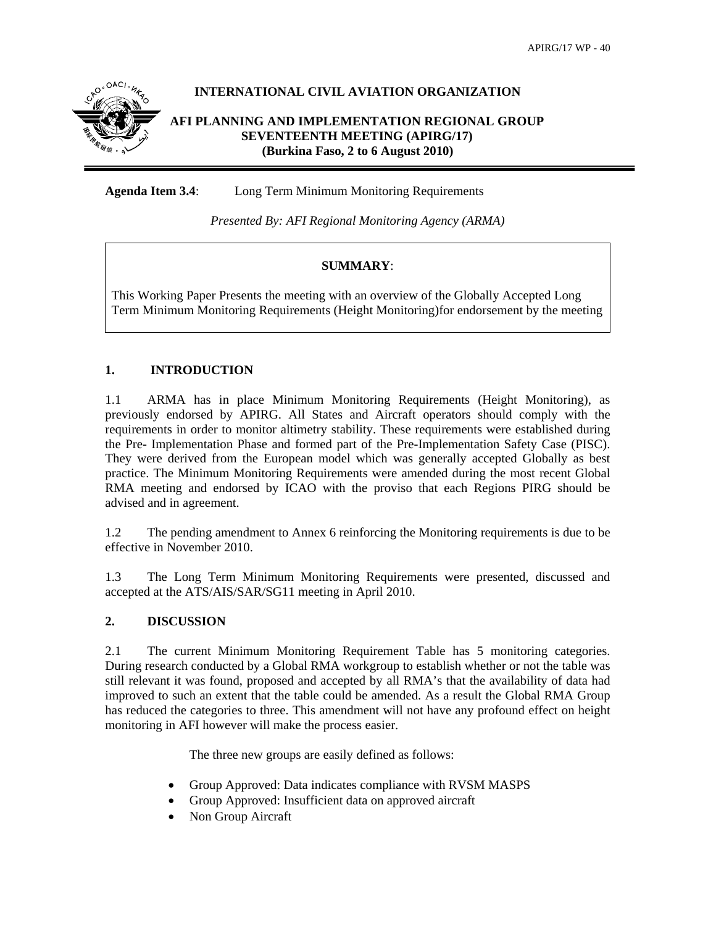

# **INTERNATIONAL CIVIL AVIATION ORGANIZATION**

## **AFI PLANNING AND IMPLEMENTATION REGIONAL GROUP SEVENTEENTH MEETING (APIRG/17) (Burkina Faso, 2 to 6 August 2010)**

**Agenda Item 3.4**: Long Term Minimum Monitoring Requirements

*Presented By: AFI Regional Monitoring Agency (ARMA)* 

## **SUMMARY**:

This Working Paper Presents the meeting with an overview of the Globally Accepted Long Term Minimum Monitoring Requirements (Height Monitoring)for endorsement by the meeting

# **1. INTRODUCTION**

1.1 ARMA has in place Minimum Monitoring Requirements (Height Monitoring), as previously endorsed by APIRG. All States and Aircraft operators should comply with the requirements in order to monitor altimetry stability. These requirements were established during the Pre- Implementation Phase and formed part of the Pre-Implementation Safety Case (PISC). They were derived from the European model which was generally accepted Globally as best practice. The Minimum Monitoring Requirements were amended during the most recent Global RMA meeting and endorsed by ICAO with the proviso that each Regions PIRG should be advised and in agreement.

1.2 The pending amendment to Annex 6 reinforcing the Monitoring requirements is due to be effective in November 2010.

1.3 The Long Term Minimum Monitoring Requirements were presented, discussed and accepted at the ATS/AIS/SAR/SG11 meeting in April 2010.

## **2. DISCUSSION**

2.1 The current Minimum Monitoring Requirement Table has 5 monitoring categories. During research conducted by a Global RMA workgroup to establish whether or not the table was still relevant it was found, proposed and accepted by all RMA's that the availability of data had improved to such an extent that the table could be amended. As a result the Global RMA Group has reduced the categories to three. This amendment will not have any profound effect on height monitoring in AFI however will make the process easier.

The three new groups are easily defined as follows:

- Group Approved: Data indicates compliance with RVSM MASPS
- Group Approved: Insufficient data on approved aircraft
- Non Group Aircraft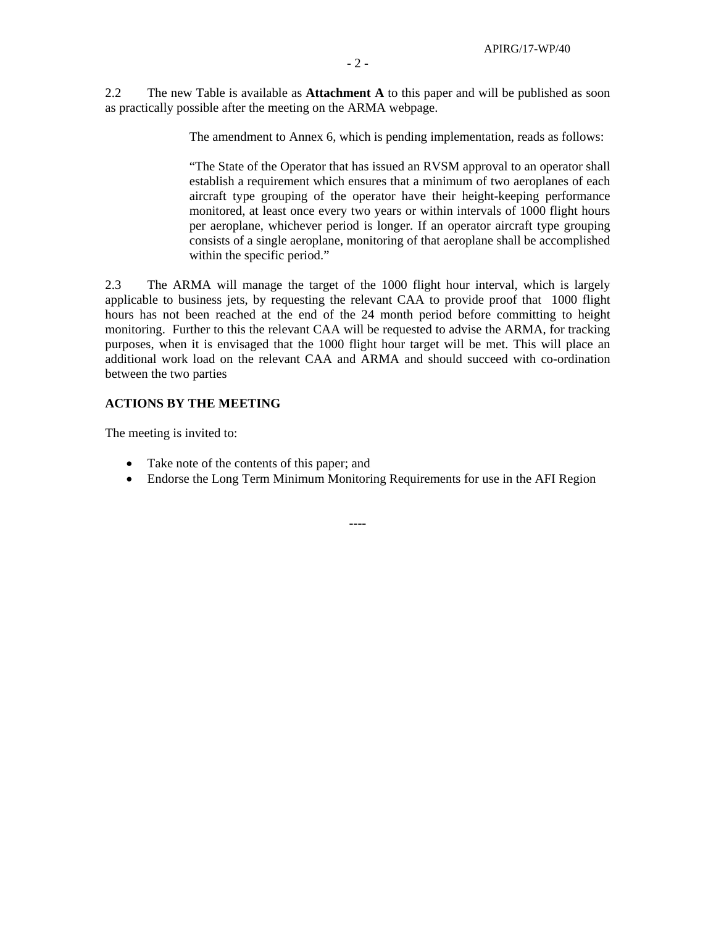2.2 The new Table is available as **Attachment A** to this paper and will be published as soon as practically possible after the meeting on the ARMA webpage.

The amendment to Annex 6, which is pending implementation, reads as follows:

"The State of the Operator that has issued an RVSM approval to an operator shall establish a requirement which ensures that a minimum of two aeroplanes of each aircraft type grouping of the operator have their height-keeping performance monitored, at least once every two years or within intervals of 1000 flight hours per aeroplane, whichever period is longer. If an operator aircraft type grouping consists of a single aeroplane, monitoring of that aeroplane shall be accomplished within the specific period."

2.3 The ARMA will manage the target of the 1000 flight hour interval, which is largely applicable to business jets, by requesting the relevant CAA to provide proof that 1000 flight hours has not been reached at the end of the 24 month period before committing to height monitoring. Further to this the relevant CAA will be requested to advise the ARMA, for tracking purposes, when it is envisaged that the 1000 flight hour target will be met. This will place an additional work load on the relevant CAA and ARMA and should succeed with co-ordination between the two parties

#### **ACTIONS BY THE MEETING**

The meeting is invited to:

- Take note of the contents of this paper; and
- Endorse the Long Term Minimum Monitoring Requirements for use in the AFI Region

----